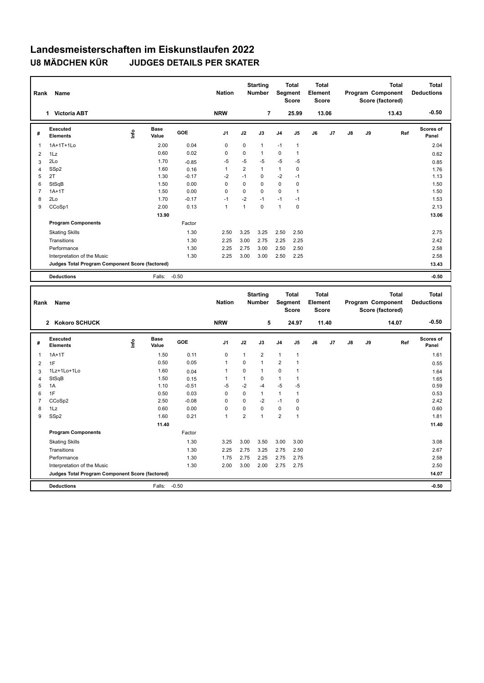| Rank           | Name                                            |                                  |                      |            | <b>Nation</b>  |                | <b>Starting</b><br>Number        | Segment        | <b>Total</b><br><b>Score</b> | <b>Total</b><br>Element<br><b>Score</b> |       |    |    | <b>Total</b><br>Program Component<br>Score (factored) |     | <b>Total</b><br><b>Deductions</b> |
|----------------|-------------------------------------------------|----------------------------------|----------------------|------------|----------------|----------------|----------------------------------|----------------|------------------------------|-----------------------------------------|-------|----|----|-------------------------------------------------------|-----|-----------------------------------|
|                | 1 Victoria ABT                                  |                                  |                      |            | <b>NRW</b>     |                | $\overline{7}$                   |                | 25.99                        |                                         | 13.06 |    |    | 13.43                                                 |     | $-0.50$                           |
| #              | Executed<br><b>Elements</b>                     | $\mathop{\mathsf{Irr}}\nolimits$ | <b>Base</b><br>Value | <b>GOE</b> | J <sub>1</sub> | J2             | J3                               | J4             | J <sub>5</sub>               | J6                                      | J7    | J8 | J9 |                                                       | Ref | Scores of<br>Panel                |
| 1              | 1A+1T+1Lo                                       |                                  | 2.00                 | 0.04       | 0              | 0              | $\mathbf{1}$                     | $-1$           | $\mathbf{1}$                 |                                         |       |    |    |                                                       |     | 2.04                              |
| $\overline{2}$ | 1Lz                                             |                                  | 0.60                 | 0.02       | 0              | 0              | $\mathbf{1}$                     | 0              | $\mathbf{1}$                 |                                         |       |    |    |                                                       |     | 0.62                              |
| 3              | 2Lo                                             |                                  | 1.70                 | $-0.85$    | $-5$           | $-5$           | -5                               | $-5$           | $-5$                         |                                         |       |    |    |                                                       |     | 0.85                              |
| 4              | SSp2                                            |                                  | 1.60                 | 0.16       | $\mathbf{1}$   | $\overline{2}$ | $\mathbf{1}$                     | $\mathbf{1}$   | $\mathbf 0$                  |                                         |       |    |    |                                                       |     | 1.76                              |
| 5              | 2T                                              |                                  | 1.30                 | $-0.17$    | $-2$           | $-1$           | $\mathbf 0$                      | $-2$           | $-1$                         |                                         |       |    |    |                                                       |     | 1.13                              |
| 6              | StSqB                                           |                                  | 1.50                 | 0.00       | $\mathbf 0$    | $\mathbf 0$    | $\mathbf 0$                      | $\mathbf 0$    | $\pmb{0}$                    |                                         |       |    |    |                                                       |     | 1.50                              |
| $\overline{7}$ | $1A+1T$                                         |                                  | 1.50                 | 0.00       | $\mathbf 0$    | 0              | $\mathbf 0$                      | 0              | $\mathbf{1}$                 |                                         |       |    |    |                                                       |     | 1.50                              |
| 8              | 2Lo                                             |                                  | 1.70                 | $-0.17$    | $-1$           | $-2$           | $-1$                             | $-1$           | $-1$                         |                                         |       |    |    |                                                       |     | 1.53                              |
| 9              | CCoSp1                                          |                                  | 2.00                 | 0.13       | $\mathbf{1}$   | $\mathbf{1}$   | $\mathbf 0$                      | $\mathbf{1}$   | $\mathbf 0$                  |                                         |       |    |    |                                                       |     | 2.13                              |
|                |                                                 |                                  | 13.90                |            |                |                |                                  |                |                              |                                         |       |    |    |                                                       |     | 13.06                             |
|                | <b>Program Components</b>                       |                                  |                      | Factor     |                |                |                                  |                |                              |                                         |       |    |    |                                                       |     |                                   |
|                | <b>Skating Skills</b>                           |                                  |                      | 1.30       | 2.50           | 3.25           | 3.25                             | 2.50           | 2.50                         |                                         |       |    |    |                                                       |     | 2.75                              |
|                | Transitions                                     |                                  |                      | 1.30       | 2.25           | 3.00           | 2.75                             | 2.25           | 2.25                         |                                         |       |    |    |                                                       |     | 2.42                              |
|                | Performance                                     |                                  |                      | 1.30       | 2.25           | 2.75           | 3.00                             | 2.50           | 2.50                         |                                         |       |    |    |                                                       |     | 2.58                              |
|                | Interpretation of the Music                     |                                  |                      | 1.30       | 2.25           | 3.00           | 3.00                             | 2.50           | 2.25                         |                                         |       |    |    |                                                       |     | 2.58                              |
|                | Judges Total Program Component Score (factored) |                                  |                      |            |                |                |                                  |                |                              |                                         |       |    |    |                                                       |     | 13.43                             |
|                | <b>Deductions</b>                               |                                  | Falls:               | $-0.50$    |                |                |                                  |                |                              |                                         |       |    |    |                                                       |     | $-0.50$                           |
|                |                                                 |                                  |                      |            |                |                |                                  |                |                              |                                         |       |    |    |                                                       |     |                                   |
| Rank           | Name                                            |                                  |                      |            | <b>Nation</b>  |                | <b>Starting</b><br><b>Number</b> | Segment        | <b>Total</b><br><b>Score</b> | <b>Total</b><br>Element<br><b>Score</b> |       |    |    | Total<br>Program Component<br>Score (factored)        |     | <b>Total</b><br><b>Deductions</b> |
|                | 2 Kokoro SCHUCK                                 |                                  |                      |            | <b>NRW</b>     |                | 5                                |                | 24.97                        |                                         | 11.40 |    |    | 14.07                                                 |     | $-0.50$                           |
| #              | Executed<br>Elements                            | $\mathop{\mathsf{Info}}$         | <b>Base</b><br>Value | GOE        | J1             | J2             | J3                               | J4             | J5                           | J6                                      | J7    | J8 | J9 |                                                       | Ref | <b>Scores of</b><br>Panel         |
| 1              | $1A+1T$                                         |                                  | 1.50                 | 0.11       | 0              | $\mathbf{1}$   | $\overline{2}$                   | 1              | $\mathbf{1}$                 |                                         |       |    |    |                                                       |     | 1.61                              |
| $\overline{2}$ | 1F                                              |                                  | 0.50                 | 0.05       | $\mathbf{1}$   | 0              | $\mathbf{1}$                     | $\overline{2}$ | $\mathbf{1}$                 |                                         |       |    |    |                                                       |     | 0.55                              |
| 3              | 1Lz+1Lo+1Lo                                     |                                  | 1.60                 | 0.04       | 1              | 0              | $\mathbf{1}$                     | $\mathbf 0$    | $\mathbf{1}$                 |                                         |       |    |    |                                                       |     | 1.64                              |
| 4              | StSqB                                           |                                  | 1.50                 | 0.15       | 1              | $\mathbf{1}$   | $\mathbf 0$                      | $\mathbf{1}$   | $\mathbf{1}$                 |                                         |       |    |    |                                                       |     | 1.65                              |
| 5              | 1A                                              |                                  | 1.10                 | $-0.51$    | $-5$           | $-2$           | $-4$                             | $-5$           | -5                           |                                         |       |    |    |                                                       |     | 0.59                              |
| 6              | 1F                                              |                                  | 0.50                 | 0.03       | $\pmb{0}$      | 0              | $\mathbf{1}$                     | 1              | 1                            |                                         |       |    |    |                                                       |     | 0.53                              |
| $\overline{7}$ | CCoSp2                                          |                                  | 2.50                 | $-0.08$    | 0              | $\pmb{0}$      | $-2$                             | $-1$           | $\pmb{0}$                    |                                         |       |    |    |                                                       |     | 2.42                              |
| 8              | 1Lz                                             |                                  | 0.60                 | 0.00       | 0              | 0              | $\mathbf 0$                      | $\mathbf 0$    | $\pmb{0}$                    |                                         |       |    |    |                                                       |     | 0.60                              |
| 9              | SSp2                                            |                                  | 1.60                 | 0.21       | $\mathbf{1}$   | $\overline{2}$ | $\mathbf{1}$                     | $\overline{2}$ | $\mathbf{1}$                 |                                         |       |    |    |                                                       |     | 1.81                              |
|                |                                                 |                                  | 11.40                |            |                |                |                                  |                |                              |                                         |       |    |    |                                                       |     | 11.40                             |
|                | <b>Program Components</b>                       |                                  |                      | Factor     |                |                |                                  |                |                              |                                         |       |    |    |                                                       |     |                                   |
|                | <b>Skating Skills</b>                           |                                  |                      | 1.30       | 3.25           | 3.00           | 3.50                             | 3.00           | 3.00                         |                                         |       |    |    |                                                       |     | 3.08                              |
|                | Transitions                                     |                                  |                      | 1.30       | 2.25           | 2.75           | 3.25                             | 2.75           | 2.50                         |                                         |       |    |    |                                                       |     | 2.67                              |
|                | Performance                                     |                                  |                      | 1.30       | 1.75           | 2.75           | 2.25                             | 2.75           | 2.75                         |                                         |       |    |    |                                                       |     | 2.58                              |
|                | Interpretation of the Music                     |                                  |                      | 1.30       | 2.00           | 3.00           | 2.00                             | 2.75           | 2.75                         |                                         |       |    |    |                                                       |     | 2.50                              |
|                | Judges Total Program Component Score (factored) |                                  |                      |            |                |                |                                  |                |                              |                                         |       |    |    |                                                       |     | 14.07                             |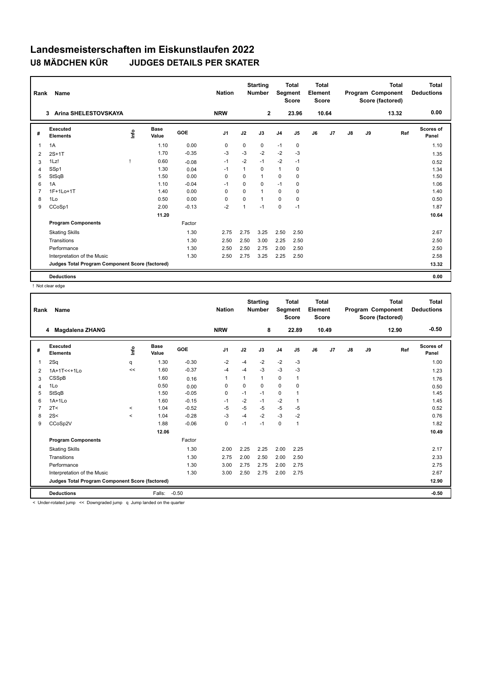| Rank           | Name                                            |      |               |         | <b>Nation</b>  |          | <b>Starting</b><br><b>Number</b> | Segment        | <b>Total</b><br><b>Score</b> | Total<br>Element<br><b>Score</b> |       |    |    | <b>Total</b><br>Program Component<br>Score (factored) | Total<br><b>Deductions</b> |
|----------------|-------------------------------------------------|------|---------------|---------|----------------|----------|----------------------------------|----------------|------------------------------|----------------------------------|-------|----|----|-------------------------------------------------------|----------------------------|
|                | Arina SHELESTOVSKAYA<br>3                       |      |               |         | <b>NRW</b>     |          | $\mathbf{2}$                     |                | 23.96                        |                                  | 10.64 |    |    | 13.32                                                 | 0.00                       |
| #              | Executed<br><b>Elements</b>                     | lnfo | Base<br>Value | GOE     | J <sub>1</sub> | J2       | J3                               | J <sub>4</sub> | J5                           | J6                               | J7    | J8 | J9 | Ref                                                   | Scores of<br>Panel         |
| 1              | 1A                                              |      | 1.10          | 0.00    | 0              | 0        | 0                                | $-1$           | 0                            |                                  |       |    |    |                                                       | 1.10                       |
| 2              | $2S+1T$                                         |      | 1.70          | $-0.35$ | -3             | $-3$     | $-2$                             | $-2$           | $-3$                         |                                  |       |    |    |                                                       | 1.35                       |
| 3              | 1Lz!                                            |      | 0.60          | $-0.08$ | $-1$           | $-2$     | $-1$                             | $-2$           | $-1$                         |                                  |       |    |    |                                                       | 0.52                       |
| 4              | SSp1                                            |      | 1.30          | 0.04    | $-1$           | 1        | 0                                | $\mathbf{1}$   | 0                            |                                  |       |    |    |                                                       | 1.34                       |
| 5              | StSqB                                           |      | 1.50          | 0.00    | $\Omega$       | $\Omega$ | 1                                | $\Omega$       | 0                            |                                  |       |    |    |                                                       | 1.50                       |
| 6              | 1A                                              |      | 1.10          | $-0.04$ | $-1$           | $\Omega$ | $\Omega$                         | $-1$           | 0                            |                                  |       |    |    |                                                       | 1.06                       |
| $\overline{7}$ | 1F+1Lo+1T                                       |      | 1.40          | 0.00    | 0              | $\Omega$ | $\mathbf{1}$                     | $\mathbf 0$    | 0                            |                                  |       |    |    |                                                       | 1.40                       |
| 8              | 1Lo                                             |      | 0.50          | 0.00    | 0              | 0        | 1                                | 0              | 0                            |                                  |       |    |    |                                                       | 0.50                       |
| 9              | CCoSp1                                          |      | 2.00          | $-0.13$ | $-2$           | 1        | $-1$                             | $\mathbf 0$    | $-1$                         |                                  |       |    |    |                                                       | 1.87                       |
|                |                                                 |      | 11.20         |         |                |          |                                  |                |                              |                                  |       |    |    |                                                       | 10.64                      |
|                | <b>Program Components</b>                       |      |               | Factor  |                |          |                                  |                |                              |                                  |       |    |    |                                                       |                            |
|                | <b>Skating Skills</b>                           |      |               | 1.30    | 2.75           | 2.75     | 3.25                             | 2.50           | 2.50                         |                                  |       |    |    |                                                       | 2.67                       |
|                | Transitions                                     |      |               | 1.30    | 2.50           | 2.50     | 3.00                             | 2.25           | 2.50                         |                                  |       |    |    |                                                       | 2.50                       |
|                | Performance                                     |      |               | 1.30    | 2.50           | 2.50     | 2.75                             | 2.00           | 2.50                         |                                  |       |    |    |                                                       | 2.50                       |
|                | Interpretation of the Music                     |      |               | 1.30    | 2.50           | 2.75     | 3.25                             | 2.25           | 2.50                         |                                  |       |    |    |                                                       | 2.58                       |
|                | Judges Total Program Component Score (factored) |      |               |         |                |          |                                  |                |                              |                                  |       |    |    |                                                       | 13.32                      |
|                | <b>Deductions</b>                               |      |               |         |                |          |                                  |                |                              |                                  |       |    |    |                                                       | 0.00                       |

! Not clear edge

| Rank | <b>Name</b>                                     |          |                      |         | <b>Nation</b>  |             | <b>Starting</b><br><b>Number</b> |                | <b>Total</b><br>Segment<br><b>Score</b> | <b>Total</b><br>Element<br><b>Score</b> |       |               |    | <b>Total</b><br>Program Component<br>Score (factored) | <b>Total</b><br><b>Deductions</b> |
|------|-------------------------------------------------|----------|----------------------|---------|----------------|-------------|----------------------------------|----------------|-----------------------------------------|-----------------------------------------|-------|---------------|----|-------------------------------------------------------|-----------------------------------|
|      | Magdalena ZHANG<br>4                            |          |                      |         | <b>NRW</b>     |             | 8                                |                | 22.89                                   |                                         | 10.49 |               |    | 12.90                                                 | $-0.50$                           |
| #    | Executed<br><b>Elements</b>                     | Info     | <b>Base</b><br>Value | GOE     | J <sub>1</sub> | J2          | J3                               | J <sub>4</sub> | J5                                      | J6                                      | J7    | $\mathsf{J}8$ | J9 | Ref                                                   | Scores of<br>Panel                |
| 1    | 2Sq                                             | q        | 1.30                 | $-0.30$ | $-2$           | $-4$        | $-2$                             | $-2$           | $-3$                                    |                                         |       |               |    |                                                       | 1.00                              |
| 2    | 1A+1T<<+1Lo                                     | <<       | 1.60                 | $-0.37$ | -4             | $-4$        | $-3$                             | $-3$           | $-3$                                    |                                         |       |               |    |                                                       | 1.23                              |
| 3    | <b>CSSpB</b>                                    |          | 1.60                 | 0.16    | $\overline{1}$ | 1           | 1                                | 0              | 1                                       |                                         |       |               |    |                                                       | 1.76                              |
| 4    | 1Lo                                             |          | 0.50                 | 0.00    | $\mathbf 0$    | $\mathbf 0$ | 0                                | $\mathbf 0$    | $\mathbf 0$                             |                                         |       |               |    |                                                       | 0.50                              |
| 5    | StSqB                                           |          | 1.50                 | $-0.05$ | 0              | $-1$        | $-1$                             | 0              |                                         |                                         |       |               |    |                                                       | 1.45                              |
| 6    | $1A+1Lo$                                        |          | 1.60                 | $-0.15$ | $-1$           | $-2$        | $-1$                             | $-2$           |                                         |                                         |       |               |    |                                                       | 1.45                              |
|      | 2T <                                            | $\,<\,$  | 1.04                 | $-0.52$ | $-5$           | -5          | $-5$                             | $-5$           | $-5$                                    |                                         |       |               |    |                                                       | 0.52                              |
| 8    | 2S<                                             | $\hat{}$ | 1.04                 | $-0.28$ | $-3$           | $-4$        | $-2$                             | $-3$           | $-2$                                    |                                         |       |               |    |                                                       | 0.76                              |
| 9    | CCoSp2V                                         |          | 1.88                 | $-0.06$ | $\mathbf 0$    | $-1$        | $-1$                             | 0              | $\mathbf{1}$                            |                                         |       |               |    |                                                       | 1.82                              |
|      |                                                 |          | 12.06                |         |                |             |                                  |                |                                         |                                         |       |               |    |                                                       | 10.49                             |
|      | <b>Program Components</b>                       |          |                      | Factor  |                |             |                                  |                |                                         |                                         |       |               |    |                                                       |                                   |
|      | <b>Skating Skills</b>                           |          |                      | 1.30    | 2.00           | 2.25        | 2.25                             | 2.00           | 2.25                                    |                                         |       |               |    |                                                       | 2.17                              |
|      | Transitions                                     |          |                      | 1.30    | 2.75           | 2.00        | 2.50                             | 2.00           | 2.50                                    |                                         |       |               |    |                                                       | 2.33                              |
|      | Performance                                     |          |                      | 1.30    | 3.00           | 2.75        | 2.75                             | 2.00           | 2.75                                    |                                         |       |               |    |                                                       | 2.75                              |
|      | Interpretation of the Music                     |          |                      | 1.30    | 3.00           | 2.50        | 2.75                             | 2.00           | 2.75                                    |                                         |       |               |    |                                                       | 2.67                              |
|      | Judges Total Program Component Score (factored) |          |                      |         |                |             |                                  |                |                                         |                                         |       |               |    |                                                       | 12.90                             |
|      | <b>Deductions</b>                               |          | Falls:               | $-0.50$ |                |             |                                  |                |                                         |                                         |       |               |    |                                                       | $-0.50$                           |

< Under-rotated jump << Downgraded jump q Jump landed on the quarter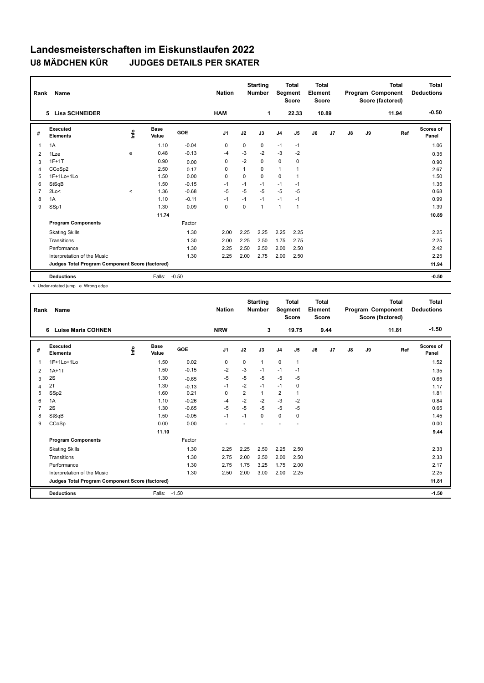| Rank           | Name                                            |         |                      |         | <b>Nation</b>  |          | <b>Starting</b><br><b>Number</b> | Segment        | <b>Total</b><br><b>Score</b> | <b>Total</b><br>Element<br><b>Score</b> |       |    |    | <b>Total</b><br>Program Component<br>Score (factored) | <b>Total</b><br><b>Deductions</b> |
|----------------|-------------------------------------------------|---------|----------------------|---------|----------------|----------|----------------------------------|----------------|------------------------------|-----------------------------------------|-------|----|----|-------------------------------------------------------|-----------------------------------|
|                | <b>Lisa SCHNEIDER</b><br>5                      |         |                      |         | <b>HAM</b>     |          | 1                                |                | 22.33                        |                                         | 10.89 |    |    | 11.94                                                 | $-0.50$                           |
| #              | Executed<br><b>Elements</b>                     | ١nf٥    | <b>Base</b><br>Value | GOE     | J <sub>1</sub> | J2       | J3                               | J <sub>4</sub> | J5                           | J6                                      | J7    | J8 | J9 | Ref                                                   | <b>Scores of</b><br>Panel         |
| 1              | 1A                                              |         | 1.10                 | $-0.04$ | 0              | 0        | 0                                | $-1$           | $-1$                         |                                         |       |    |    |                                                       | 1.06                              |
| 2              | 1Lze                                            | e       | 0.48                 | $-0.13$ | $-4$           | $-3$     | $-2$                             | $-3$           | $-2$                         |                                         |       |    |    |                                                       | 0.35                              |
| 3              | $1F+1T$                                         |         | 0.90                 | 0.00    | 0              | $-2$     | 0                                | $\mathbf 0$    | 0                            |                                         |       |    |    |                                                       | 0.90                              |
| 4              | CCoSp2                                          |         | 2.50                 | 0.17    | 0              | 1        | 0                                | $\mathbf{1}$   |                              |                                         |       |    |    |                                                       | 2.67                              |
| 5              | 1F+1Lo+1Lo                                      |         | 1.50                 | 0.00    | $\Omega$       | $\Omega$ | 0                                | $\mathbf 0$    |                              |                                         |       |    |    |                                                       | 1.50                              |
| 6              | StSqB                                           |         | 1.50                 | $-0.15$ | $-1$           | $-1$     | $-1$                             | $-1$           | $-1$                         |                                         |       |    |    |                                                       | 1.35                              |
| $\overline{7}$ | 2Lo<                                            | $\prec$ | 1.36                 | $-0.68$ | $-5$           | $-5$     | $-5$                             | -5             | $-5$                         |                                         |       |    |    |                                                       | 0.68                              |
| 8              | 1A                                              |         | 1.10                 | $-0.11$ | $-1$           | $-1$     | $-1$                             | $-1$           | $-1$                         |                                         |       |    |    |                                                       | 0.99                              |
| 9              | SSp1                                            |         | 1.30                 | 0.09    | 0              | $\Omega$ | $\mathbf{1}$                     | $\overline{1}$ | -1                           |                                         |       |    |    |                                                       | 1.39                              |
|                |                                                 |         | 11.74                |         |                |          |                                  |                |                              |                                         |       |    |    |                                                       | 10.89                             |
|                | <b>Program Components</b>                       |         |                      | Factor  |                |          |                                  |                |                              |                                         |       |    |    |                                                       |                                   |
|                | <b>Skating Skills</b>                           |         |                      | 1.30    | 2.00           | 2.25     | 2.25                             | 2.25           | 2.25                         |                                         |       |    |    |                                                       | 2.25                              |
|                | Transitions                                     |         |                      | 1.30    | 2.00           | 2.25     | 2.50                             | 1.75           | 2.75                         |                                         |       |    |    |                                                       | 2.25                              |
|                | Performance                                     |         |                      | 1.30    | 2.25           | 2.50     | 2.50                             | 2.00           | 2.50                         |                                         |       |    |    |                                                       | 2.42                              |
|                | Interpretation of the Music                     |         |                      | 1.30    | 2.25           | 2.00     | 2.75                             | 2.00           | 2.50                         |                                         |       |    |    |                                                       | 2.25                              |
|                | Judges Total Program Component Score (factored) |         |                      |         |                |          |                                  |                |                              |                                         |       |    |    |                                                       | 11.94                             |
|                | <b>Deductions</b>                               |         | Falls:               | $-0.50$ |                |          |                                  |                |                              |                                         |       |    |    |                                                       | $-0.50$                           |

< Under-rotated jump e Wrong edge

| Rank           | Name                                            |      |                      |         | <b>Nation</b>  |                | <b>Starting</b><br><b>Number</b> | Segment        | <b>Total</b><br><b>Score</b> | <b>Total</b><br>Element<br><b>Score</b> |      |               |    | <b>Total</b><br>Program Component<br>Score (factored) | <b>Total</b><br><b>Deductions</b> |
|----------------|-------------------------------------------------|------|----------------------|---------|----------------|----------------|----------------------------------|----------------|------------------------------|-----------------------------------------|------|---------------|----|-------------------------------------------------------|-----------------------------------|
|                | <b>Luise Maria COHNEN</b><br>6                  |      |                      |         | <b>NRW</b>     |                | 3                                |                | 19.75                        |                                         | 9.44 |               |    | 11.81                                                 | $-1.50$                           |
| #              | Executed<br><b>Elements</b>                     | lnfo | <b>Base</b><br>Value | GOE     | J <sub>1</sub> | J2             | J3                               | J <sub>4</sub> | J5                           | J6                                      | J7   | $\mathsf{J}8$ | J9 | Ref                                                   | <b>Scores of</b><br>Panel         |
| -1             | 1F+1Lo+1Lo                                      |      | 1.50                 | 0.02    | 0              | 0              | $\mathbf{1}$                     | $\mathbf 0$    | 1                            |                                         |      |               |    |                                                       | 1.52                              |
| 2              | $1A+1T$                                         |      | 1.50                 | $-0.15$ | $-2$           | $-3$           | $-1$                             | $-1$           | $-1$                         |                                         |      |               |    |                                                       | 1.35                              |
| 3              | 2S                                              |      | 1.30                 | $-0.65$ | $-5$           | $-5$           | $-5$                             | $-5$           | -5                           |                                         |      |               |    |                                                       | 0.65                              |
| $\overline{4}$ | 2T                                              |      | 1.30                 | $-0.13$ | $-1$           | $-2$           | $-1$                             | $-1$           | 0                            |                                         |      |               |    |                                                       | 1.17                              |
| 5              | SSp2                                            |      | 1.60                 | 0.21    | 0              | $\overline{2}$ | $\mathbf{1}$                     | 2              | $\mathbf 1$                  |                                         |      |               |    |                                                       | 1.81                              |
| 6              | 1A                                              |      | 1.10                 | $-0.26$ | -4             | $-2$           | $-2$                             | $-3$           | $-2$                         |                                         |      |               |    |                                                       | 0.84                              |
|                | 2S                                              |      | 1.30                 | $-0.65$ | $-5$           | $-5$           | $-5$                             | -5             | $-5$                         |                                         |      |               |    |                                                       | 0.65                              |
| 8              | StSqB                                           |      | 1.50                 | $-0.05$ | $-1$           | $-1$           | 0                                | $\mathbf 0$    | 0                            |                                         |      |               |    |                                                       | 1.45                              |
| 9              | CCoSp                                           |      | 0.00                 | 0.00    | ٠              |                |                                  |                |                              |                                         |      |               |    |                                                       | 0.00                              |
|                |                                                 |      | 11.10                |         |                |                |                                  |                |                              |                                         |      |               |    |                                                       | 9.44                              |
|                | <b>Program Components</b>                       |      |                      | Factor  |                |                |                                  |                |                              |                                         |      |               |    |                                                       |                                   |
|                | <b>Skating Skills</b>                           |      |                      | 1.30    | 2.25           | 2.25           | 2.50                             | 2.25           | 2.50                         |                                         |      |               |    |                                                       | 2.33                              |
|                | Transitions                                     |      |                      | 1.30    | 2.75           | 2.00           | 2.50                             | 2.00           | 2.50                         |                                         |      |               |    |                                                       | 2.33                              |
|                | Performance                                     |      |                      | 1.30    | 2.75           | 1.75           | 3.25                             | 1.75           | 2.00                         |                                         |      |               |    |                                                       | 2.17                              |
|                | Interpretation of the Music                     |      |                      | 1.30    | 2.50           | 2.00           | 3.00                             | 2.00           | 2.25                         |                                         |      |               |    |                                                       | 2.25                              |
|                | Judges Total Program Component Score (factored) |      |                      |         |                |                |                                  |                |                              |                                         |      |               |    |                                                       | 11.81                             |
|                | <b>Deductions</b>                               |      | Falls:               | $-1.50$ |                |                |                                  |                |                              |                                         |      |               |    |                                                       | $-1.50$                           |